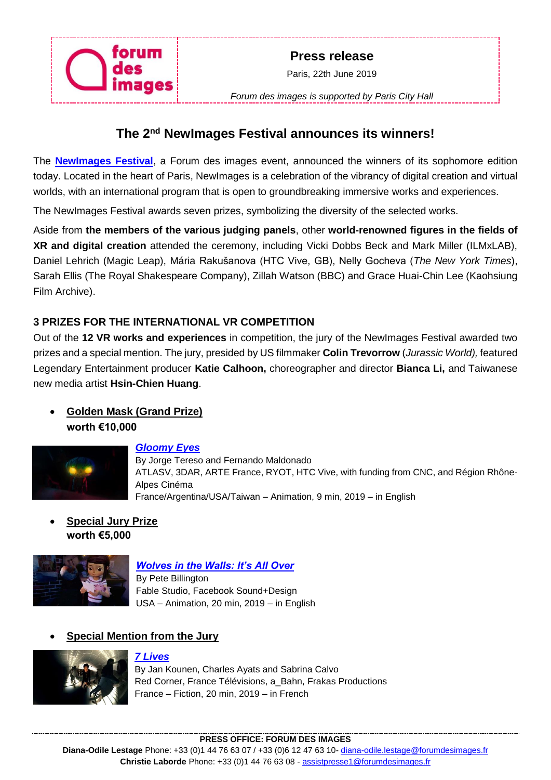

*Forum des images is supported by Paris City Hall*

# **The 2nd NewImages Festival announces its winners!**

The **[NewImages Festival](https://newimagesfestival.com/en)**, a Forum des images event, announced the winners of its sophomore edition today. Located in the heart of Paris, NewImages is a celebration of the vibrancy of digital creation and virtual worlds, with an international program that is open to groundbreaking immersive works and experiences.

The NewImages Festival awards seven prizes, symbolizing the diversity of the selected works.

Aside from **the members of the various judging panels**, other **world-renowned figures in the fields of XR and digital creation** attended the ceremony, including Vicki Dobbs Beck and Mark Miller (ILMxLAB), Daniel Lehrich (Magic Leap), Mária Rakušanova (HTC Vive, GB), Nelly Gocheva (*The New York Times*), Sarah Ellis (The Royal Shakespeare Company), Zillah Watson (BBC) and Grace Huai-Chin Lee (Kaohsiung Film Archive).

## **3 PRIZES FOR THE INTERNATIONAL VR COMPETITION**

Out of the **12 VR works and experiences** in competition, the jury of the NewImages Festival awarded two prizes and a special mention. The jury, presided by US filmmaker **Colin Trevorrow** (*Jurassic World),* featured Legendary Entertainment producer **Katie Calhoon,** choreographer and director **Bianca Li,** and Taiwanese new media artist **Hsin-Chien Huang**.

## • **Golden Mask (Grand Prize) worth €10,000**



### *[Gloomy Eyes](https://newimagesfestival.com/en/festival/line-up/vr-competition-en/gloomy-eyes/)*

By Jorge Tereso and Fernando Maldonado ATLASV, 3DAR, ARTE France, RYOT, HTC Vive, with funding from CNC, and Région Rhône-Alpes Cinéma France/Argentina/USA/Taiwan – Animation, 9 min, 2019 – in English

• **Special Jury Prize worth €5,000**



### *[Wolves in the Walls: It's All Over](https://newimagesfestival.com/en/festival/line-up/vr-competition-en/wolves-in-the-wall-its-all-over/)*

By Pete Billington Fable Studio, Facebook Sound+Design USA – Animation, 20 min, 2019 – in English

### • **Special Mention from the Jury**



### *[7 Lives](https://newimagesfestival.com/en/festival/line-up/vr-competition-en/7-lives/)*

By Jan Kounen, Charles Ayats and Sabrina Calvo Red Corner, France Télévisions, a\_Bahn, Frakas Productions France – Fiction, 20 min, 2019 – in French

#### **PRESS OFFICE: FORUM DES IMAGES**

**Diana-Odile Lestage** Phone: +33 (0)1 44 76 63 07 / +33 (0)6 12 47 63 10- [diana-odile.lestage@forumdesimages.fr](mailto:diana-odile.lestage@forumdesimages.fr) **Christie Laborde** Phone: +33 (0)1 44 76 63 08 - [assistpresse1@forumdesimages.fr](mailto:assistpresse1@forumdesimages.fr)